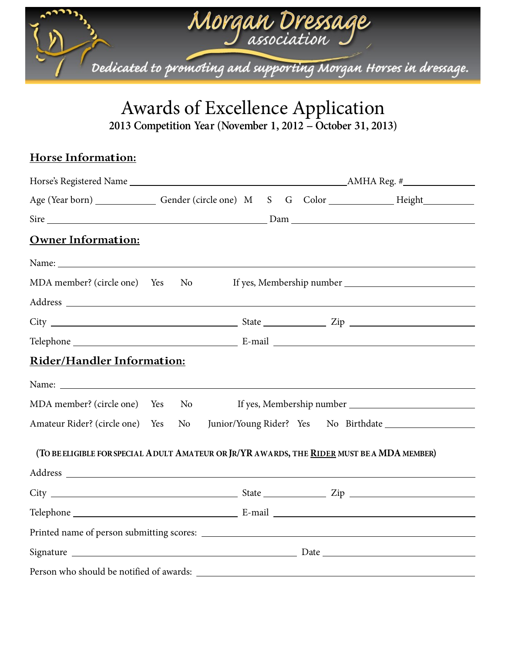

# Awards of Excellence Application

**2013 Competition Year (November 1, 2012 -- October 31, 2013)**

## **Horse Information:**

| <b>Owner Information:</b>                                                                                                                                                                                                                                                                                                   |                |  |  |  |  |  |
|-----------------------------------------------------------------------------------------------------------------------------------------------------------------------------------------------------------------------------------------------------------------------------------------------------------------------------|----------------|--|--|--|--|--|
| Name: Name: Name: Name: Name: Name: Name: Name: Name: Name: Name: Name: Name: Name: Name: Name: Name: Name: Name: Name: Name: Name: Name: Name: Name: Name: Name: Name: Name: Name: Name: Name: Name: Name: Name: Name: Name:                                                                                               |                |  |  |  |  |  |
| MDA member? (circle one) Yes                                                                                                                                                                                                                                                                                                | N <sub>0</sub> |  |  |  |  |  |
|                                                                                                                                                                                                                                                                                                                             |                |  |  |  |  |  |
|                                                                                                                                                                                                                                                                                                                             |                |  |  |  |  |  |
|                                                                                                                                                                                                                                                                                                                             |                |  |  |  |  |  |
| <b>Rider/Handler Information:</b>                                                                                                                                                                                                                                                                                           |                |  |  |  |  |  |
|                                                                                                                                                                                                                                                                                                                             |                |  |  |  |  |  |
| MDA member? (circle one) Yes                                                                                                                                                                                                                                                                                                | N <sub>0</sub> |  |  |  |  |  |
| Amateur Rider? (circle one) Yes                                                                                                                                                                                                                                                                                             | No             |  |  |  |  |  |
| (TO BE ELIGIBLE FOR SPECIAL ADULT AMATEUR OR JR/YR AWARDS, THE RIDER MUST BE A MDA MEMBER)<br>Address experiences and the set of the set of the set of the set of the set of the set of the set of the set of the set of the set of the set of the set of the set of the set of the set of the set of the set of the set of |                |  |  |  |  |  |
|                                                                                                                                                                                                                                                                                                                             |                |  |  |  |  |  |
|                                                                                                                                                                                                                                                                                                                             |                |  |  |  |  |  |
|                                                                                                                                                                                                                                                                                                                             |                |  |  |  |  |  |
|                                                                                                                                                                                                                                                                                                                             |                |  |  |  |  |  |
|                                                                                                                                                                                                                                                                                                                             |                |  |  |  |  |  |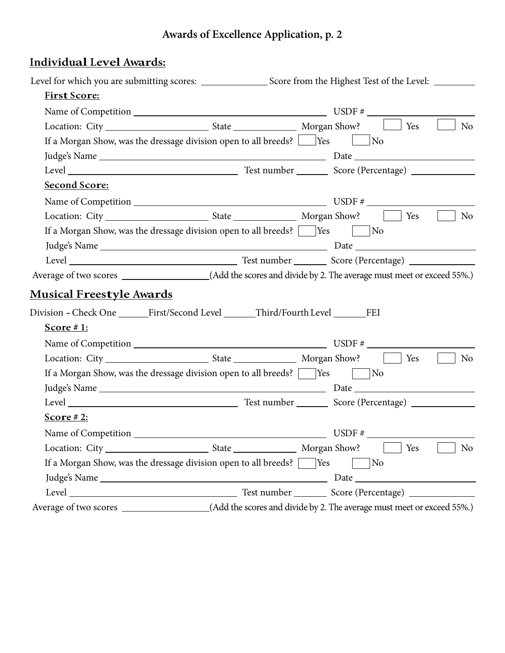## **Awards of Excellence Application, p. 2**

## **Individual Level Awards:**

| First Score:                                                                                                                                                   |  |                                                                                                 |
|----------------------------------------------------------------------------------------------------------------------------------------------------------------|--|-------------------------------------------------------------------------------------------------|
|                                                                                                                                                                |  |                                                                                                 |
|                                                                                                                                                                |  | Yes<br>No                                                                                       |
| If a Morgan Show, was the dressage division open to all breeds? $\Box$ Yes $\Box$ No                                                                           |  |                                                                                                 |
|                                                                                                                                                                |  |                                                                                                 |
|                                                                                                                                                                |  |                                                                                                 |
| Second Score:                                                                                                                                                  |  |                                                                                                 |
|                                                                                                                                                                |  |                                                                                                 |
|                                                                                                                                                                |  | No                                                                                              |
| If a Morgan Show, was the dressage division open to all breeds? $\begin{array}{ c c }\n\hline\n\end{array}$ Yes $\begin{array}{ c c }\n\hline\n\end{array}$ No |  |                                                                                                 |
|                                                                                                                                                                |  |                                                                                                 |
|                                                                                                                                                                |  |                                                                                                 |
|                                                                                                                                                                |  |                                                                                                 |
| <b>Musical Freestyle Awards</b>                                                                                                                                |  |                                                                                                 |
| Division - Check One _______First/Second Level _______Third/Fourth Level ________FEI                                                                           |  |                                                                                                 |
| Score # 1:                                                                                                                                                     |  |                                                                                                 |
|                                                                                                                                                                |  |                                                                                                 |
|                                                                                                                                                                |  | <b>No</b>                                                                                       |
| If a Morgan Show, was the dressage division open to all breeds? $\Box$ Yes $\Box$ No                                                                           |  |                                                                                                 |
|                                                                                                                                                                |  |                                                                                                 |
|                                                                                                                                                                |  |                                                                                                 |
| Score # 2:                                                                                                                                                     |  |                                                                                                 |
|                                                                                                                                                                |  |                                                                                                 |
|                                                                                                                                                                |  | $\overline{\phantom{a}}$ and $\overline{\phantom{a}}$ and $\overline{\phantom{a}}$<br>Yes<br>No |
| If a Morgan Show, was the dressage division open to all breeds? $\sqrt{\phantom{a}}$ Yes                                                                       |  | No                                                                                              |
|                                                                                                                                                                |  |                                                                                                 |
|                                                                                                                                                                |  |                                                                                                 |
|                                                                                                                                                                |  |                                                                                                 |